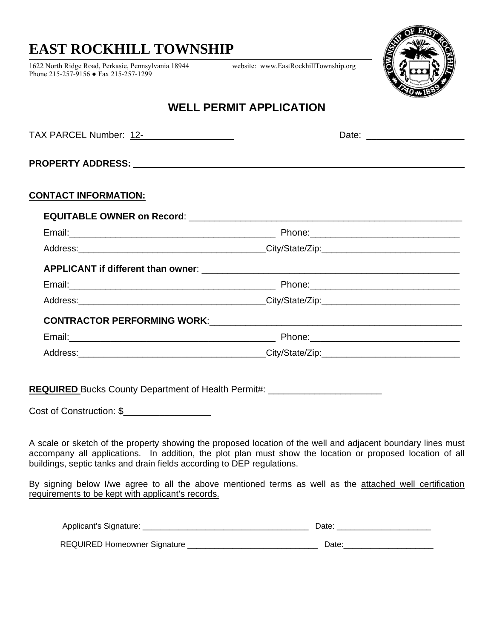## **EAST ROCKHILL TOWNSHIP**

1622 North Ridge Road, Perkasie, Pennsylvania 18944 website: www.EastRockhillTownship.org Phone 215-257-9156 ● Fax 215-257-1299



TAX PARCEL Number: 12- \_\_\_ Date: \_\_\_\_\_\_\_\_\_\_\_\_\_\_\_\_\_\_\_

### **WELL PERMIT APPLICATION**

| <b>TAX PARCEL Number: 12-</b> |  |
|-------------------------------|--|
|                               |  |

**PROPERTY ADDRESS:** 

#### **CONTACT INFORMATION:**

**REQUIRED** Bucks County Department of Health Permit#: \_\_\_\_\_\_\_\_\_\_\_\_\_\_\_\_\_\_\_\_\_\_\_\_\_\_\_

Cost of Construction: \$

A scale or sketch of the property showing the proposed location of the well and adjacent boundary lines must accompany all applications. In addition, the plot plan must show the location or proposed location of all buildings, septic tanks and drain fields according to DEP regulations.

By signing below I/we agree to all the above mentioned terms as well as the attached well certification requirements to be kept with applicant's records.

| Applicant's Signature:              | Jate |
|-------------------------------------|------|
| <b>REQUIRED Homeowner Signature</b> | Date |